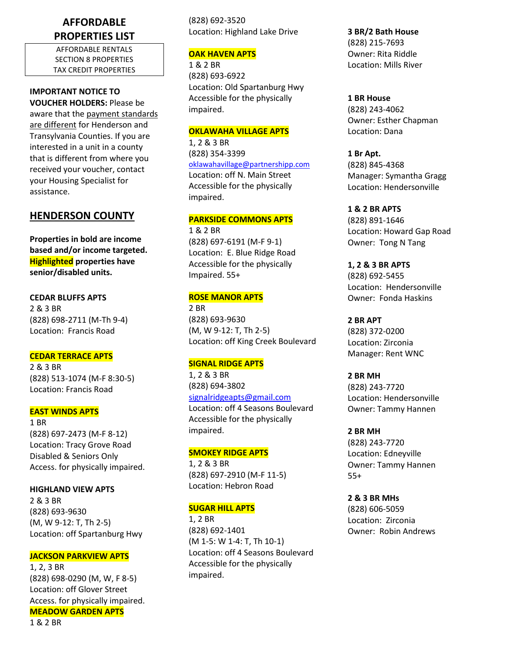# **AFFORDABLE PROPERTIES LIST**

AFFORDABLE RENTALS SECTION 8 PROPERTIES TAX CREDIT PROPERTIES

# **IMPORTANT NOTICE TO**

**VOUCHER HOLDERS:** Please be aware that the payment standards are different for Henderson and Transylvania Counties. If you are interested in a unit in a county that is different from where you received your voucher, contact your Housing Specialist for assistance.

# **HENDERSON COUNTY**

**Properties in bold are income based and/or income targeted. Highlighted properties have senior/disabled units.**

**CEDAR BLUFFS APTS** 2 & 3 BR (828) 698-2711 (M-Th 9-4) Location: Francis Road

## **CEDAR TERRACE APTS**

2 & 3 BR (828) 513-1074 (M-F 8:30-5) Location: Francis Road

## **EAST WINDS APTS**

1 BR (828) 697-2473 (M-F 8-12) Location: Tracy Grove Road Disabled & Seniors Only Access. for physically impaired.

**HIGHLAND VIEW APTS** 2 & 3 BR (828) 693-9630 (M, W 9-12: T, Th 2-5) Location: off Spartanburg Hwy

## **JACKSON PARKVIEW APTS**

1, 2, 3 BR (828) 698-0290 (M, W, F 8-5) Location: off Glover Street Access. for physically impaired. **MEADOW GARDEN APTS** 1 & 2 BR

(828) 692-3520 Location: Highland Lake Drive

## **OAK HAVEN APTS**

1 & 2 BR (828) 693-6922 Location: Old Spartanburg Hwy Accessible for the physically impaired.

## **OKLAWAHA VILLAGE APTS**

1, 2 & 3 BR (828) 354-3399 [oklawahavillage@partnershipp.com](mailto:oklawahavillage@partnershipp.com) Location: off N. Main Street Accessible for the physically impaired.

## **PARKSIDE COMMONS APTS**

1 & 2 BR (828) 697-6191 (M-F 9-1) Location: E. Blue Ridge Road Accessible for the physically Impaired. 55+

## **ROSE MANOR APTS**

2 BR (828) 693-9630 (M, W 9-12: T, Th 2-5) Location: off King Creek Boulevard

## **SIGNAL RIDGE APTS**

1, 2 & 3 BR (828) 694-3802 [signalridgeapts@gmail.com](mailto:signalridgeapts@gmail.com) Location: off 4 Seasons Boulevard Accessible for the physically impaired.

## **SMOKEY RIDGE APTS**

1, 2 & 3 BR (828) 697-2910 (M-F 11-5) Location: Hebron Road

## **SUGAR HILL APTS**

1, 2 BR (828) 692-1401 (M 1-5: W 1-4: T, Th 10-1) Location: off 4 Seasons Boulevard Accessible for the physically impaired.

**3 BR/2 Bath House** (828) 215-7693 Owner: Rita Riddle Location: Mills River

**1 BR House** (828) 243-4062 Owner: Esther Chapman Location: Dana

**1 Br Apt.** (828) 845-4368 Manager: Symantha Gragg Location: Hendersonville

**1 & 2 BR APTS** (828) 891-1646 Location: Howard Gap Road Owner: Tong N Tang

**1, 2 & 3 BR APTS** (828) 692-5455 Location: Hendersonville Owner: Fonda Haskins

**2 BR APT** (828) 372-0200 Location: Zirconia Manager: Rent WNC

**2 BR MH** (828) 243-7720 Location: Hendersonville Owner: Tammy Hannen

**2 BR MH** (828) 243-7720 Location: Edneyville Owner: Tammy Hannen 55+

**2 & 3 BR MHs** (828) 606-5059 Location: Zirconia Owner: Robin Andrews